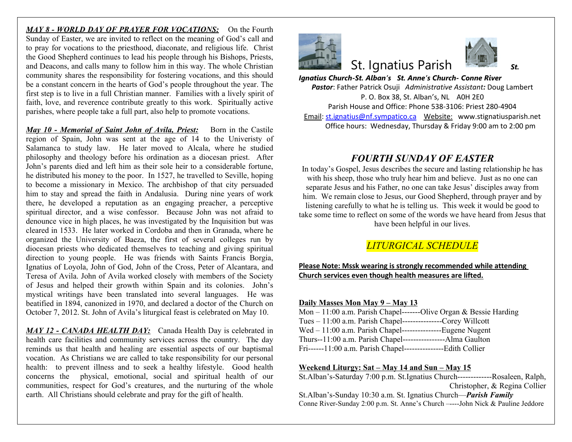*MAY 8 - WORLD DAY OF PRAYER FOR VOCATIONS:* On the Fourth Sunday of Easter, we are invited to reflect on the meaning of God's call and to pray for vocations to the priesthood, diaconate, and religious life. Christ the Good Shepherd continues to lead his people through his Bishops, Priests, and Deacons, and calls many to follow him in this way. The whole Christian community shares the responsibility for fostering vocations, and this should be a constant concern in the hearts of God's people throughout the year. The first step is to live in a full Christian manner. Families with a lively spirit of faith, love, and reverence contribute greatly to this work. Spiritually active parishes, where people take a full part, also help to promote vocations.

*May 10 - Memorial of Saint John of Avila, Priest:* Born in the Castile region of Spain, John was sent at the age of 14 to the Univeristy of Salamanca to study law. He later moved to Alcala, where he studied philosophy and theology before his ordination as a diocesan priest. After John's parents died and left him as their sole heir to a considerable fortune, he distributed his money to the poor. In 1527, he travelled to Seville, hoping to become a missionary in Mexico. The archbishop of that city persuaded him to stay and spread the faith in Andalusia. During nine years of work there, he developed a reputation as an engaging preacher, a perceptive spiritual director, and a wise confessor. Because John was not afraid to denounce vice in high places, he was investigated by the Inquisition but was cleared in 1533. He later worked in Cordoba and then in Granada, where he organized the University of Baeza, the first of several colleges run by diocesan priests who dedicated themselves to teaching and giving spiritual direction to young people. He was friends with Saints Francis Borgia, Ignatius of Loyola, John of God, John of the Cross, Peter of Alcantara, and Teresa of Avila. John of Avila worked closely with members of the Society of Jesus and helped their growth within Spain and its colonies. John's mystical writings have been translated into several languages. He was beatified in 1894, canonized in 1970, and declared a doctor of the Church on October 7, 2012. St. John of Avila's liturgical feast is celebrated on May 10.

*MAY 12 - CANADA HEALTH DAY:* Canada Health Day is celebrated in health care facilities and community services across the country. The day reminds us that health and healing are essential aspects of our baptismal vocation. As Christians we are called to take responsibility for our personal health: to prevent illness and to seek a healthy lifestyle. Good health concerns the physical, emotional, social and spiritual health of our communities, respect for God's creatures, and the nurturing of the whole earth. All Christians should celebrate and pray for the gift of health.



# **St. Ignatius Paris**

*Ignatius Church-St. Alban's St. Anne's Ch* **Pastor: Father Patrick Osuji Administrative Assistant** P. O. Box 38, St. Alban's, Parish House and Office: Phone 538 Email: st.ignatius@nf.sympatico.ca Webs Office hours: Wednesday, Thursday

## *FOURTH SUNDAY*

In today's Gospel, Jesus describes the secure with his sheep, those who truly hear him a separate Jesus and his Father, no one can take him. We remain close to Jesus, our Good S listening carefully to what he is telling us. take some time to reflect on some of the word have been helpful in

## $LITURGICAL$  *SCH*

#### **Please Note: Mssk wearing is strongly records Church services even though health measures**

#### **Daily Masses Mon May 9 – May 13**

| Mon $-11:00$ a.m. Parish Chapel--------Olive $\theta$ |
|-------------------------------------------------------|
| Tues $-11:00$ a.m. Parish Chapel--                    |
| $Wed - 11:00$ a.m. Parish Chapel--                    |
| Thurs--11:00 a.m. Parish Chapel--                     |
| Fri------11:00 a.m. Parish Chapel--                   |

#### **Weekend Liturgy: Sat – May 14 and Sun -**

St.Alban's-Saturday 7:00 p.m. St.Ignatius Ch

St.Alban's-Sunday 10:30 a.m. St. Ignatius Cl Conne River-Sunday 2:00 p.m. St. Anne's Church